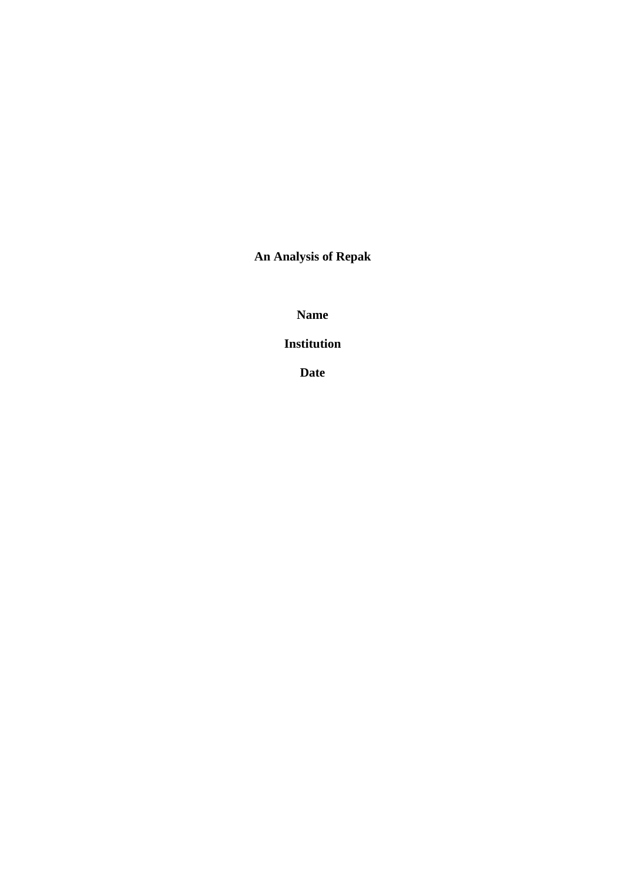**An Analysis of Repak**

**Name**

**Institution**

**Date**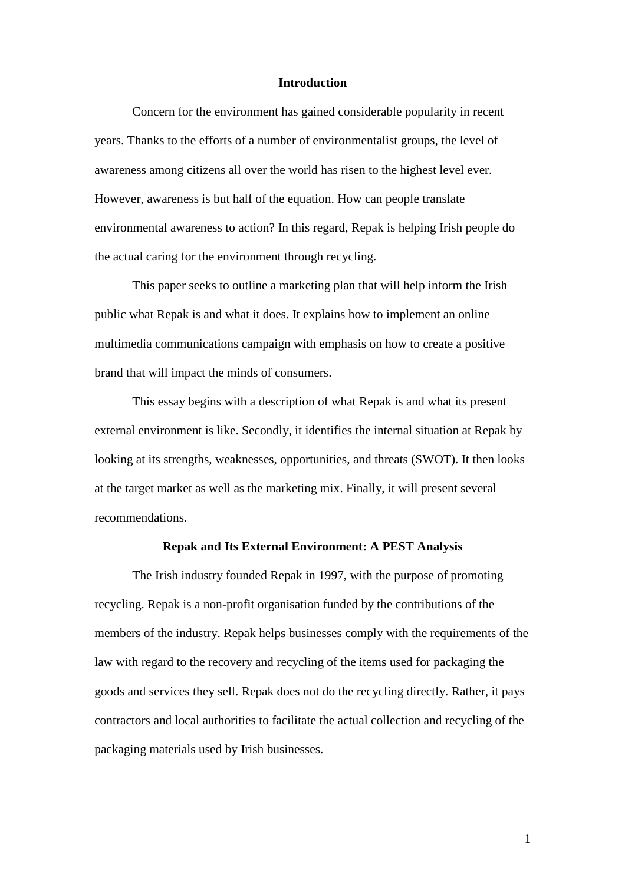#### **Introduction**

Concern for the environment has gained considerable popularity in recent years. Thanks to the efforts of a number of environmentalist groups, the level of awareness among citizens all over the world has risen to the highest level ever. However, awareness is but half of the equation. How can people translate environmental awareness to action? In this regard, Repak is helping Irish people do the actual caring for the environment through recycling.

This paper seeks to outline a marketing plan that will help inform the Irish public what Repak is and what it does. It explains how to implement an online multimedia communications campaign with emphasis on how to create a positive brand that will impact the minds of consumers.

This essay begins with a description of what Repak is and what its present external environment is like. Secondly, it identifies the internal situation at Repak by looking at its strengths, weaknesses, opportunities, and threats (SWOT). It then looks at the target market as well as the marketing mix. Finally, it will present several recommendations.

## **Repak and Its External Environment: A PEST Analysis**

The Irish industry founded Repak in 1997, with the purpose of promoting recycling. Repak is a non-profit organisation funded by the contributions of the members of the industry. Repak helps businesses comply with the requirements of the law with regard to the recovery and recycling of the items used for packaging the goods and services they sell. Repak does not do the recycling directly. Rather, it pays contractors and local authorities to facilitate the actual collection and recycling of the packaging materials used by Irish businesses.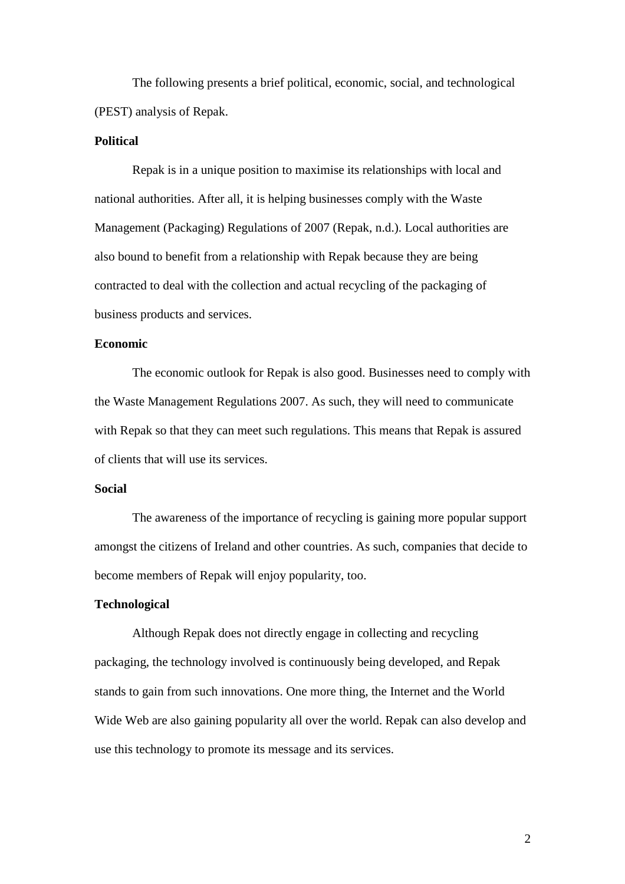The following presents a brief political, economic, social, and technological (PEST) analysis of Repak.

## **Political**

Repak is in a unique position to maximise its relationships with local and national authorities. After all, it is helping businesses comply with the Waste Management (Packaging) Regulations of 2007 (Repak, n.d.). Local authorities are also bound to benefit from a relationship with Repak because they are being contracted to deal with the collection and actual recycling of the packaging of business products and services.

## **Economic**

The economic outlook for Repak is also good. Businesses need to comply with the Waste Management Regulations 2007. As such, they will need to communicate with Repak so that they can meet such regulations. This means that Repak is assured of clients that will use its services.

## **Social**

The awareness of the importance of recycling is gaining more popular support amongst the citizens of Ireland and other countries. As such, companies that decide to become members of Repak will enjoy popularity, too.

#### **Technological**

Although Repak does not directly engage in collecting and recycling packaging, the technology involved is continuously being developed, and Repak stands to gain from such innovations. One more thing, the Internet and the World Wide Web are also gaining popularity all over the world. Repak can also develop and use this technology to promote its message and its services.

2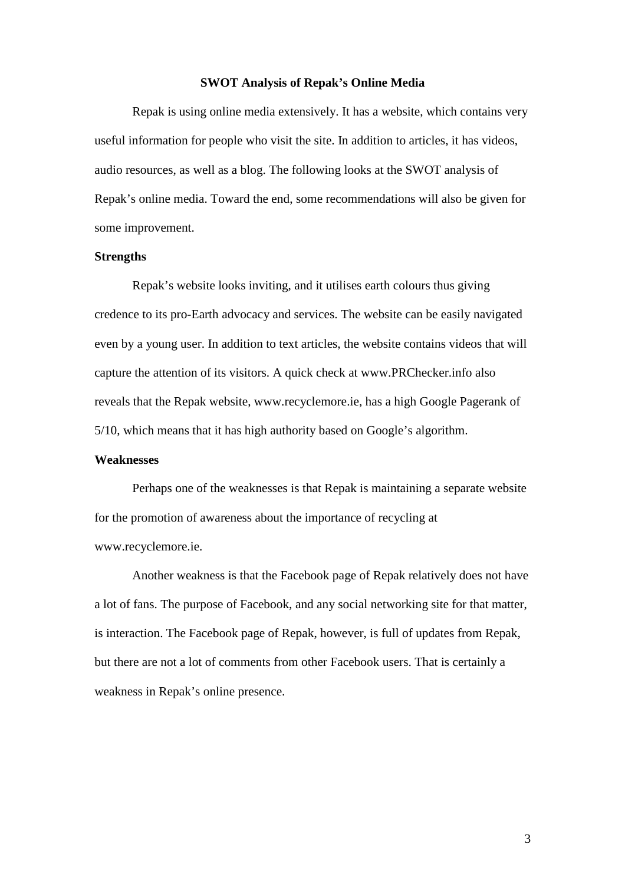#### **SWOT Analysis of Repak's Online Media**

Repak is using online media extensively. It has a website, which contains very useful information for people who visit the site. In addition to articles, it has videos, audio resources, as well as a blog. The following looks at the SWOT analysis of Repak's online media. Toward the end, some recommendations will also be given for some improvement.

#### **Strengths**

Repak's website looks inviting, and it utilises earth colours thus giving credence to its pro-Earth advocacy and services. The website can be easily navigated even by a young user. In addition to text articles, the website contains videos that will capture the attention of its visitors. A quick check at www.PRChecker.info also reveals that the Repak website, www.recyclemore.ie, has a high Google Pagerank of 5/10, which means that it has high authority based on Google's algorithm.

## **Weaknesses**

Perhaps one of the weaknesses is that Repak is maintaining a separate website for the promotion of awareness about the importance of recycling at www.recyclemore.ie.

Another weakness is that the Facebook page of Repak relatively does not have a lot of fans. The purpose of Facebook, and any social networking site for that matter, is interaction. The Facebook page of Repak, however, is full of updates from Repak, but there are not a lot of comments from other Facebook users. That is certainly a weakness in Repak's online presence.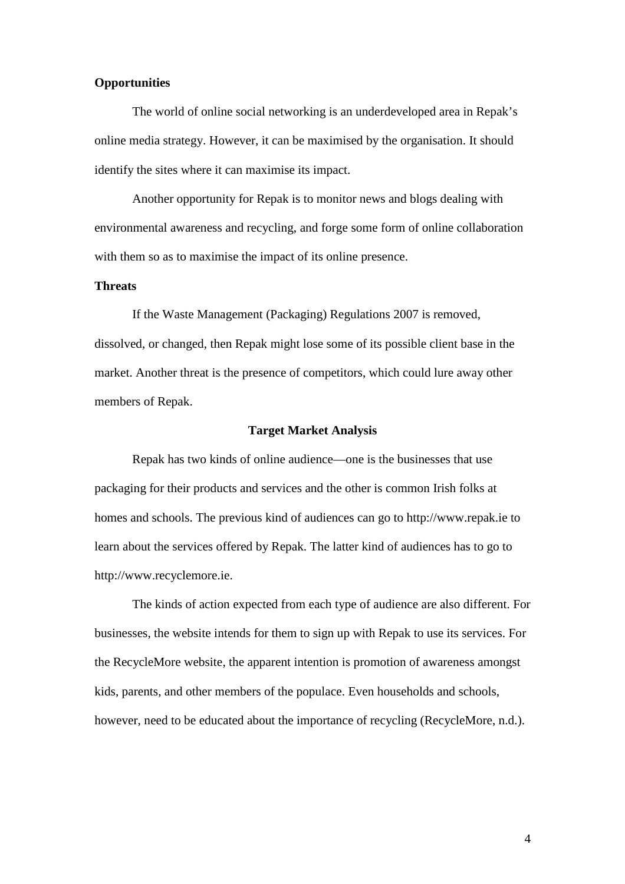#### **Opportunities**

The world of online social networking is an underdeveloped area in Repak's online media strategy. However, it can be maximised by the organisation. It should identify the sites where it can maximise its impact.

Another opportunity for Repak is to monitor news and blogs dealing with environmental awareness and recycling, and forge some form of online collaboration with them so as to maximise the impact of its online presence.

#### **Threats**

If the Waste Management (Packaging) Regulations 2007 is removed, dissolved, or changed, then Repak might lose some of its possible client base in the market. Another threat is the presence of competitors, which could lure away other members of Repak.

#### **Target Market Analysis**

Repak has two kinds of online audience—one is the businesses that use packaging for their products and services and the other is common Irish folks at homes and schools. The previous kind of audiences can go to http://www.repak.ie to learn about the services offered by Repak. The latter kind of audiences has to go to http://www.recyclemore.ie.

The kinds of action expected from each type of audience are also different. For businesses, the website intends for them to sign up with Repak to use its services. For the RecycleMore website, the apparent intention is promotion of awareness amongst kids, parents, and other members of the populace. Even households and schools, however, need to be educated about the importance of recycling (RecycleMore, n.d.).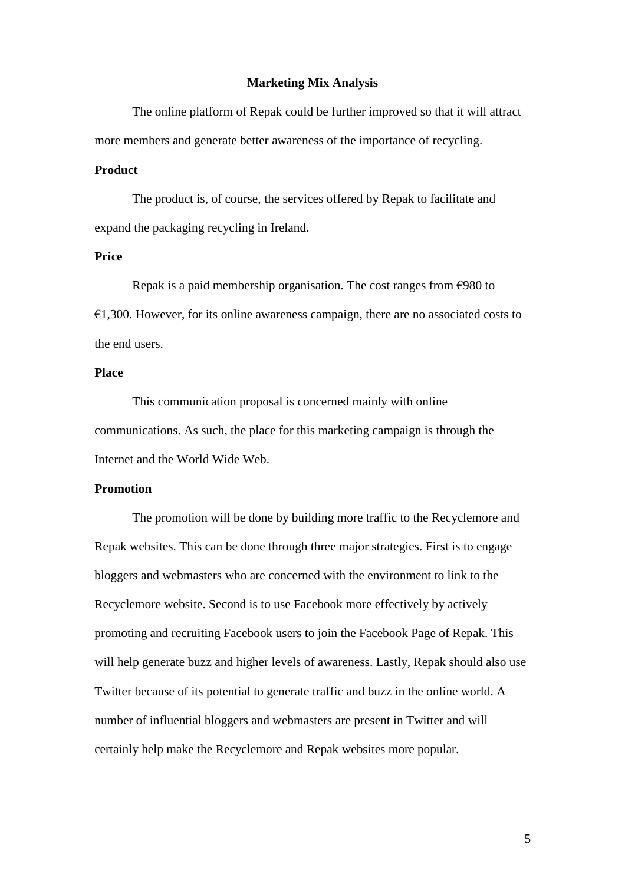#### **Marketing Mix Analysis**

The online platform of Repak could be further improved so that it will attract more members and generate better awareness of the importance of recycling.

## **Product**

The product is, of course, the services offered by Repak to facilitate and expand the packaging recycling in Ireland.

#### **Price**

Repak is a paid membership organisation. The cost ranges from  $\epsilon$ 980 to  $€1,300.$  However, for its online awareness campaign, there are no associated costs to the end users.

## **Place**

This communication proposal is concerned mainly with online communications. As such, the place for this marketing campaign is through the Internet and the World Wide Web.

## **Promotion**

The promotion will be done by building more traffic to the Recyclemore and Repak websites. This can be done through three major strategies. First is to engage bloggers and webmasters who are concerned with the environment to link to the Recyclemore website. Second is to use Facebook more effectively by actively promoting and recruiting Facebook users to join the Facebook Page of Repak. This will help generate buzz and higher levels of awareness. Lastly, Repak should also use Twitter because of its potential to generate traffic and buzz in the online world. A number of influential bloggers and webmasters are present in Twitter and will certainly help make the Recyclemore and Repak websites more popular.

5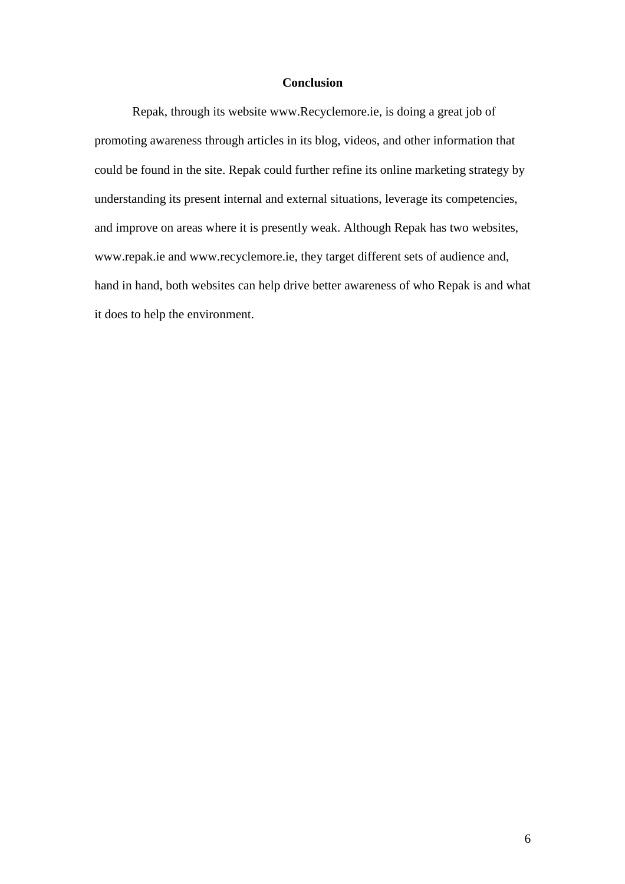## **Conclusion**

Repak, through its website www.Recyclemore.ie, is doing a great job of promoting awareness through articles in its blog, videos, and other information that could be found in the site. Repak could further refine its online marketing strategy by understanding its present internal and external situations, leverage its competencies, and improve on areas where it is presently weak. Although Repak has two websites, www.repak.ie and www.recyclemore.ie, they target different sets of audience and, hand in hand, both websites can help drive better awareness of who Repak is and what it does to help the environment.